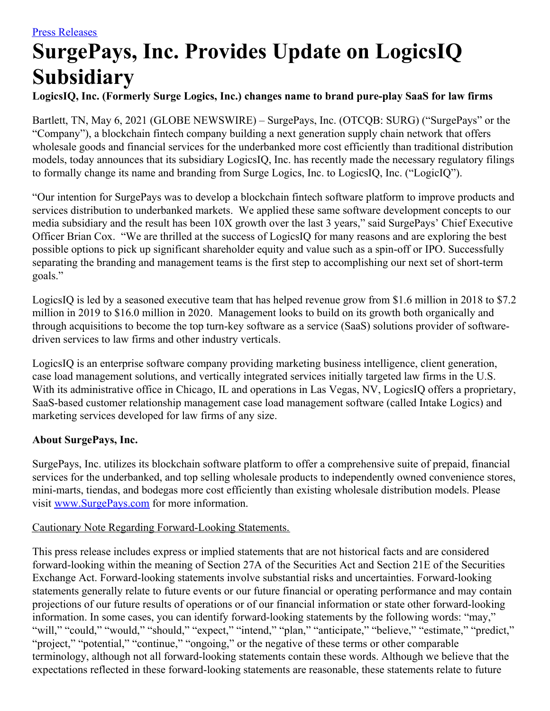## **SurgePays, Inc. Provides Update on LogicsIQ Subsidiary**

## **LogicsIQ, Inc. (Formerly Surge Logics, Inc.) changes name to brand pure-play SaaS for law firms**

Bartlett, TN, May 6, 2021 (GLOBE NEWSWIRE) – SurgePays, Inc. (OTCQB: SURG) ("SurgePays" or the "Company"), a blockchain fintech company building a next generation supply chain network that offers wholesale goods and financial services for the underbanked more cost efficiently than traditional distribution models, today announces that its subsidiary LogicsIQ, Inc. has recently made the necessary regulatory filings to formally change its name and branding from Surge Logics, Inc. to LogicsIQ, Inc. ("LogicIQ").

"Our intention for SurgePays was to develop a blockchain fintech software platform to improve products and services distribution to underbanked markets. We applied these same software development concepts to our media subsidiary and the result has been 10X growth over the last 3 years," said SurgePays' Chief Executive Officer Brian Cox. "We are thrilled at the success of LogicsIQ for many reasons and are exploring the best possible options to pick up significant shareholder equity and value such as a spin-off or IPO. Successfully separating the branding and management teams is the first step to accomplishing our next set of short-term goals."

LogicsIQ is led by a seasoned executive team that has helped revenue grow from \$1.6 million in 2018 to \$7.2 million in 2019 to \$16.0 million in 2020. Management looks to build on its growth both organically and through acquisitions to become the top turn-key software as a service (SaaS) solutions provider of softwaredriven services to law firms and other industry verticals.

LogicsIQ is an enterprise software company providing marketing business intelligence, client generation, case load management solutions, and vertically integrated services initially targeted law firms in the U.S. With its administrative office in Chicago, IL and operations in Las Vegas, NV, LogicsIQ offers a proprietary, SaaS-based customer relationship management case load management software (called Intake Logics) and marketing services developed for law firms of any size.

## **About SurgePays, Inc.**

SurgePays, Inc. utilizes its blockchain software platform to offer a comprehensive suite of prepaid, financial services for the underbanked, and top selling wholesale products to independently owned convenience stores, mini-marts, tiendas, and bodegas more cost efficiently than existing wholesale distribution models. Please visit [www.SurgePays.com](http://www.surgepays.com/) for more information.

## Cautionary Note Regarding Forward-Looking Statements.

This press release includes express or implied statements that are not historical facts and are considered forward-looking within the meaning of Section 27A of the Securities Act and Section 21E of the Securities Exchange Act. Forward-looking statements involve substantial risks and uncertainties. Forward-looking statements generally relate to future events or our future financial or operating performance and may contain projections of our future results of operations or of our financial information or state other forward-looking information. In some cases, you can identify forward-looking statements by the following words: "may," "will," "could," "would," "should," "expect," "intend," "plan," "anticipate," "believe," "estimate," "predict," "project," "potential," "continue," "ongoing," or the negative of these terms or other comparable terminology, although not all forward-looking statements contain these words. Although we believe that the expectations reflected in these forward-looking statements are reasonable, these statements relate to future